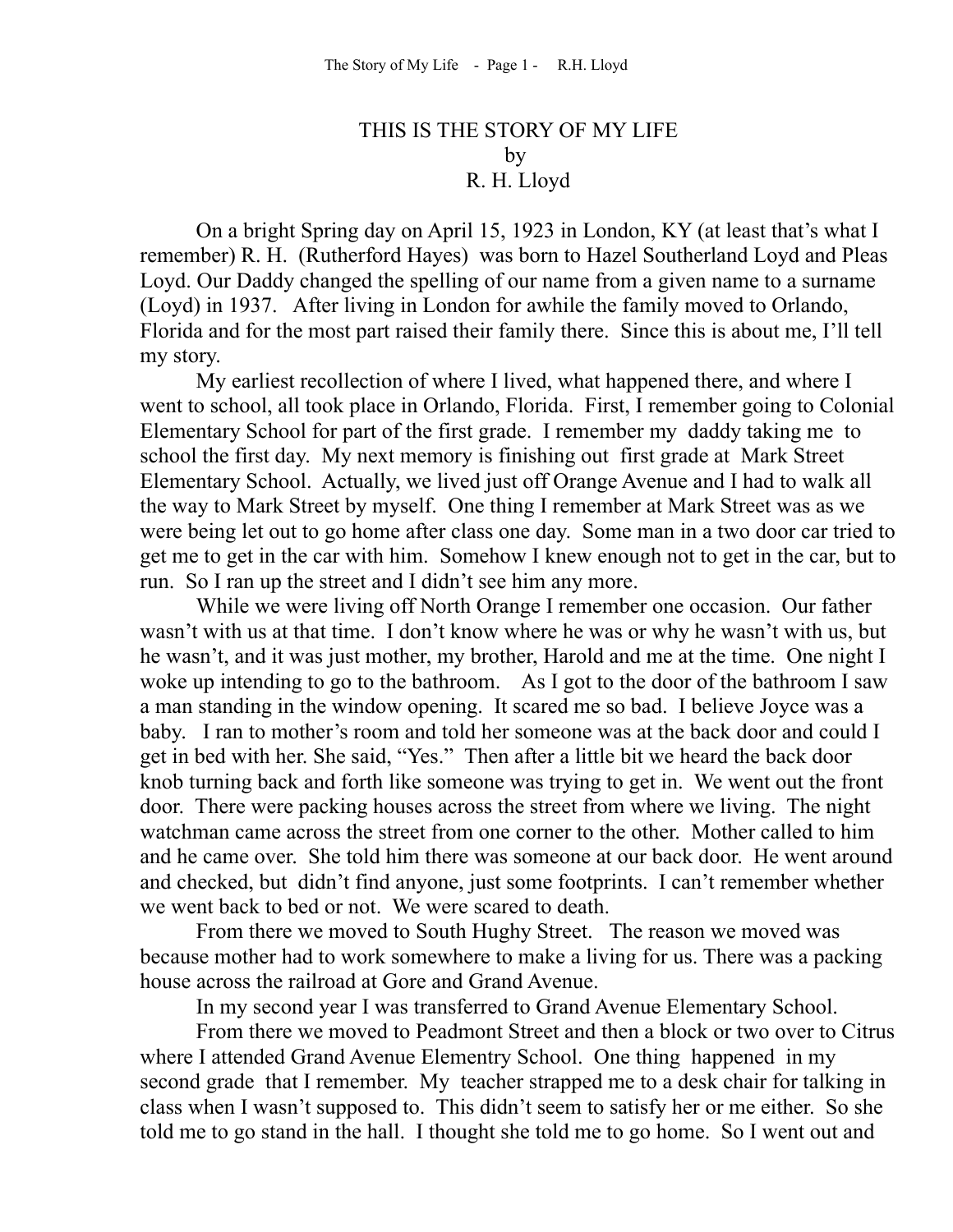## THIS IS THE STORY OF MY LIFE by R. H. Lloyd

On a bright Spring day on April 15, 1923 in London, KY (at least that's what I remember) R. H. (Rutherford Hayes) was born to Hazel Southerland Loyd and Pleas Loyd. Our Daddy changed the spelling of our name from a given name to a surname (Loyd) in 1937. After living in London for awhile the family moved to Orlando, Florida and for the most part raised their family there. Since this is about me, I'll tell my story.

My earliest recollection of where I lived, what happened there, and where I went to school, all took place in Orlando, Florida. First, I remember going to Colonial Elementary School for part of the first grade. I remember my daddy taking me to school the first day. My next memory is finishing out first grade at Mark Street Elementary School. Actually, we lived just off Orange Avenue and I had to walk all the way to Mark Street by myself. One thing I remember at Mark Street was as we were being let out to go home after class one day. Some man in a two door car tried to get me to get in the car with him. Somehow I knew enough not to get in the car, but to run. So I ran up the street and I didn't see him any more.

While we were living off North Orange I remember one occasion. Our father wasn't with us at that time. I don't know where he was or why he wasn't with us, but he wasn't, and it was just mother, my brother, Harold and me at the time. One night I woke up intending to go to the bathroom. As I got to the door of the bathroom I saw a man standing in the window opening. It scared me so bad. I believe Joyce was a baby. I ran to mother's room and told her someone was at the back door and could I get in bed with her. She said, "Yes." Then after a little bit we heard the back door knob turning back and forth like someone was trying to get in. We went out the front door. There were packing houses across the street from where we living. The night watchman came across the street from one corner to the other. Mother called to him and he came over. She told him there was someone at our back door. He went around and checked, but didn't find anyone, just some footprints. I can't remember whether we went back to bed or not. We were scared to death.

From there we moved to South Hughy Street. The reason we moved was because mother had to work somewhere to make a living for us. There was a packing house across the railroad at Gore and Grand Avenue.

In my second year I was transferred to Grand Avenue Elementary School.

From there we moved to Peadmont Street and then a block or two over to Citrus where I attended Grand Avenue Elementry School. One thing happened in my second grade that I remember. My teacher strapped me to a desk chair for talking in class when I wasn't supposed to. This didn't seem to satisfy her or me either. So she told me to go stand in the hall. I thought she told me to go home. So I went out and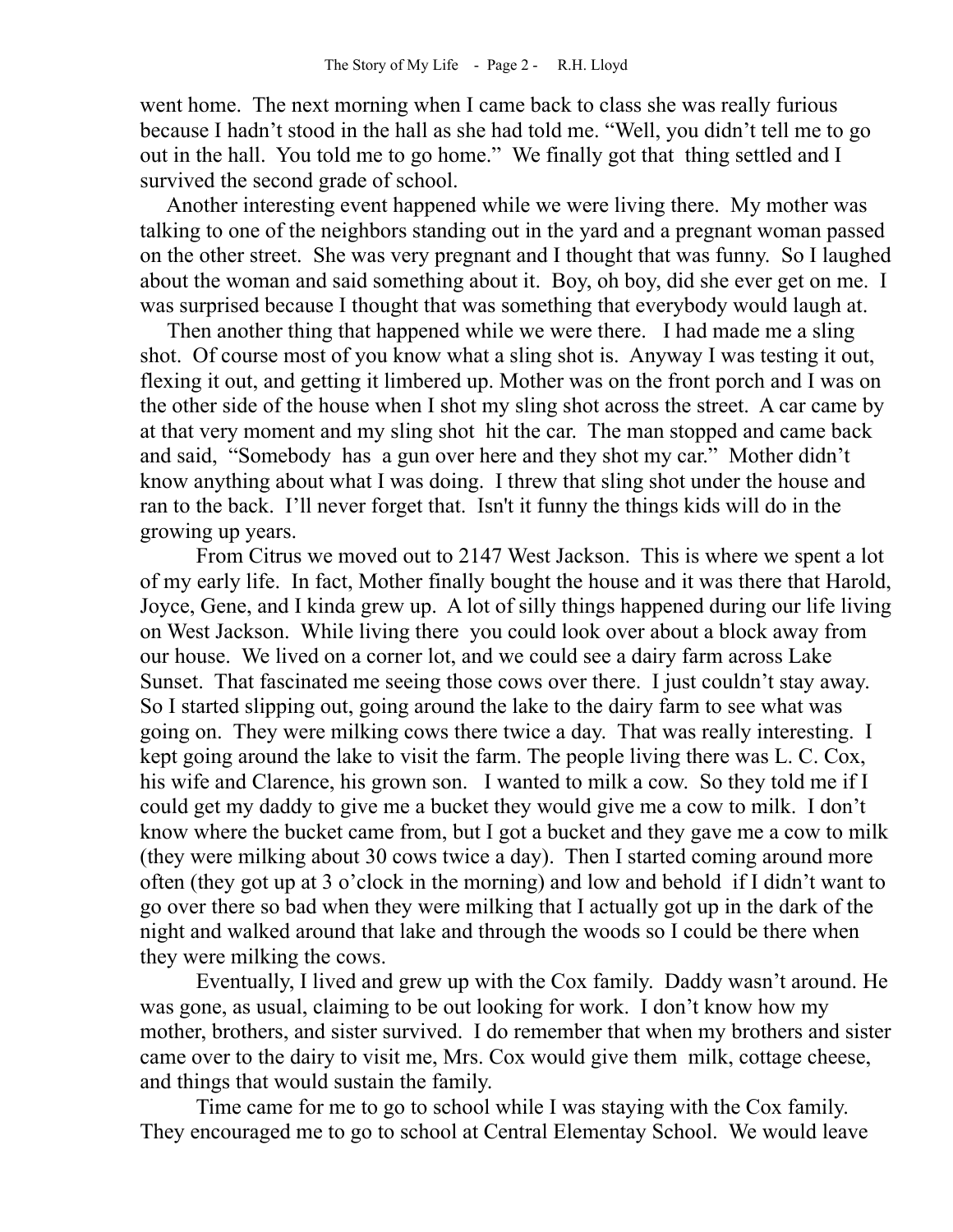went home. The next morning when I came back to class she was really furious because I hadn't stood in the hall as she had told me. "Well, you didn't tell me to go out in the hall. You told me to go home." We finally got that thing settled and I survived the second grade of school.

 Another interesting event happened while we were living there. My mother was talking to one of the neighbors standing out in the yard and a pregnant woman passed on the other street. She was very pregnant and I thought that was funny. So I laughed about the woman and said something about it. Boy, oh boy, did she ever get on me. I was surprised because I thought that was something that everybody would laugh at.

 Then another thing that happened while we were there. I had made me a sling shot. Of course most of you know what a sling shot is. Anyway I was testing it out, flexing it out, and getting it limbered up. Mother was on the front porch and I was on the other side of the house when I shot my sling shot across the street. A car came by at that very moment and my sling shot hit the car. The man stopped and came back and said, "Somebody has a gun over here and they shot my car." Mother didn't know anything about what I was doing. I threw that sling shot under the house and ran to the back. I'll never forget that. Isn't it funny the things kids will do in the growing up years.

From Citrus we moved out to 2147 West Jackson. This is where we spent a lot of my early life. In fact, Mother finally bought the house and it was there that Harold, Joyce, Gene, and I kinda grew up. A lot of silly things happened during our life living on West Jackson. While living there you could look over about a block away from our house. We lived on a corner lot, and we could see a dairy farm across Lake Sunset. That fascinated me seeing those cows over there. I just couldn't stay away. So I started slipping out, going around the lake to the dairy farm to see what was going on. They were milking cows there twice a day. That was really interesting. I kept going around the lake to visit the farm. The people living there was L. C. Cox, his wife and Clarence, his grown son. I wanted to milk a cow. So they told me if I could get my daddy to give me a bucket they would give me a cow to milk. I don't know where the bucket came from, but I got a bucket and they gave me a cow to milk (they were milking about 30 cows twice a day). Then I started coming around more often (they got up at 3 o'clock in the morning) and low and behold if I didn't want to go over there so bad when they were milking that I actually got up in the dark of the night and walked around that lake and through the woods so I could be there when they were milking the cows.

Eventually, I lived and grew up with the Cox family. Daddy wasn't around. He was gone, as usual, claiming to be out looking for work. I don't know how my mother, brothers, and sister survived. I do remember that when my brothers and sister came over to the dairy to visit me, Mrs. Cox would give them milk, cottage cheese, and things that would sustain the family.

Time came for me to go to school while I was staying with the Cox family. They encouraged me to go to school at Central Elementay School. We would leave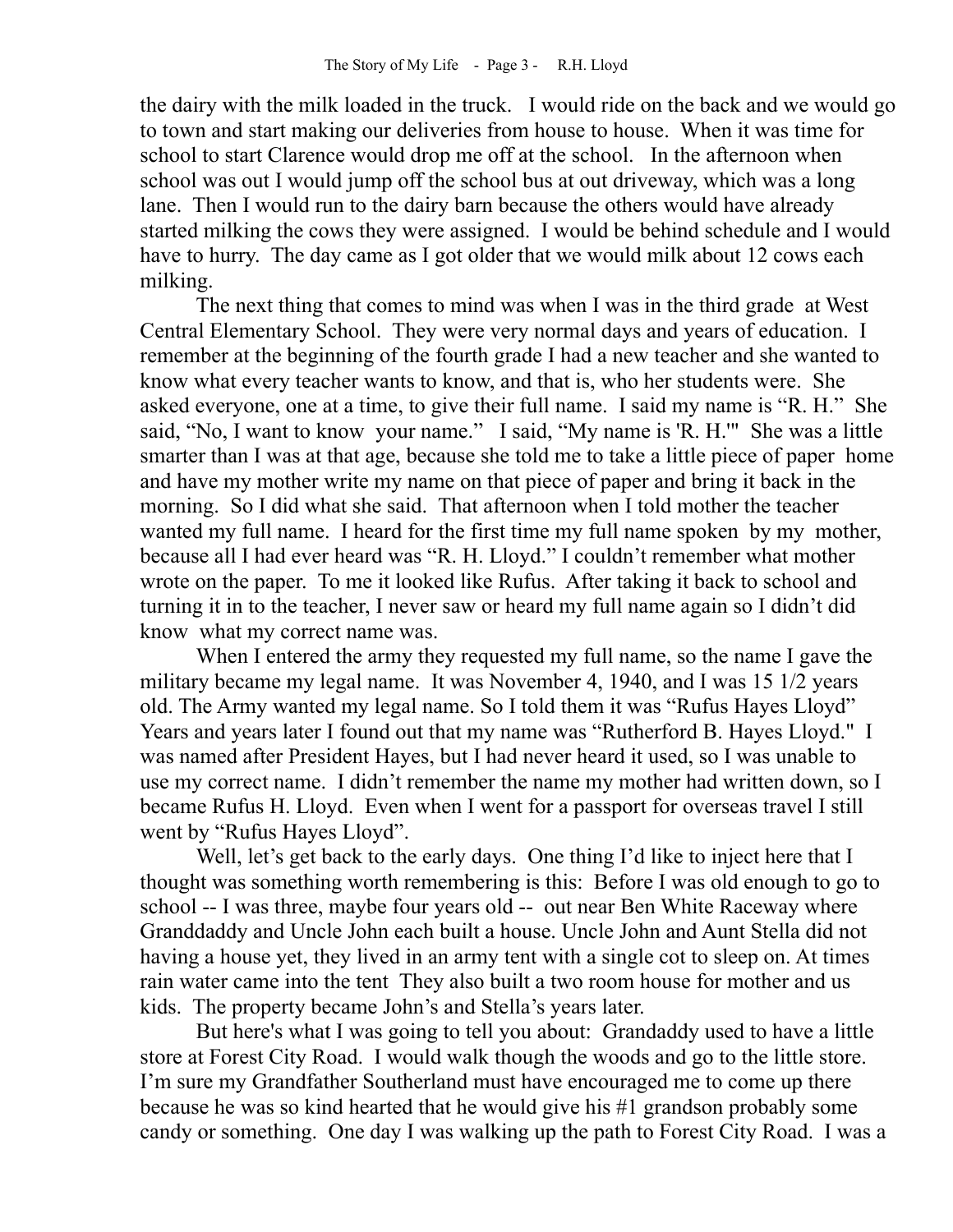the dairy with the milk loaded in the truck. I would ride on the back and we would go to town and start making our deliveries from house to house. When it was time for school to start Clarence would drop me off at the school. In the afternoon when school was out I would jump off the school bus at out driveway, which was a long lane. Then I would run to the dairy barn because the others would have already started milking the cows they were assigned. I would be behind schedule and I would have to hurry. The day came as I got older that we would milk about 12 cows each milking.

The next thing that comes to mind was when I was in the third grade at West Central Elementary School. They were very normal days and years of education. I remember at the beginning of the fourth grade I had a new teacher and she wanted to know what every teacher wants to know, and that is, who her students were. She asked everyone, one at a time, to give their full name. I said my name is "R. H." She said, "No, I want to know your name." I said, "My name is 'R. H.'" She was a little smarter than I was at that age, because she told me to take a little piece of paper home and have my mother write my name on that piece of paper and bring it back in the morning. So I did what she said. That afternoon when I told mother the teacher wanted my full name. I heard for the first time my full name spoken by my mother, because all I had ever heard was "R. H. Lloyd." I couldn't remember what mother wrote on the paper. To me it looked like Rufus. After taking it back to school and turning it in to the teacher, I never saw or heard my full name again so I didn't did know what my correct name was.

 When I entered the army they requested my full name, so the name I gave the military became my legal name. It was November 4, 1940, and I was 15 1/2 years old. The Army wanted my legal name. So I told them it was "Rufus Hayes Lloyd" Years and years later I found out that my name was "Rutherford B. Hayes Lloyd." I was named after President Hayes, but I had never heard it used, so I was unable to use my correct name. I didn't remember the name my mother had written down, so I became Rufus H. Lloyd. Even when I went for a passport for overseas travel I still went by "Rufus Hayes Lloyd".

Well, let's get back to the early days. One thing I'd like to inject here that I thought was something worth remembering is this: Before I was old enough to go to school -- I was three, maybe four years old -- out near Ben White Raceway where Granddaddy and Uncle John each built a house. Uncle John and Aunt Stella did not having a house yet, they lived in an army tent with a single cot to sleep on. At times rain water came into the tent They also built a two room house for mother and us kids. The property became John's and Stella's years later.

But here's what I was going to tell you about: Grandaddy used to have a little store at Forest City Road. I would walk though the woods and go to the little store. I'm sure my Grandfather Southerland must have encouraged me to come up there because he was so kind hearted that he would give his #1 grandson probably some candy or something. One day I was walking up the path to Forest City Road. I was a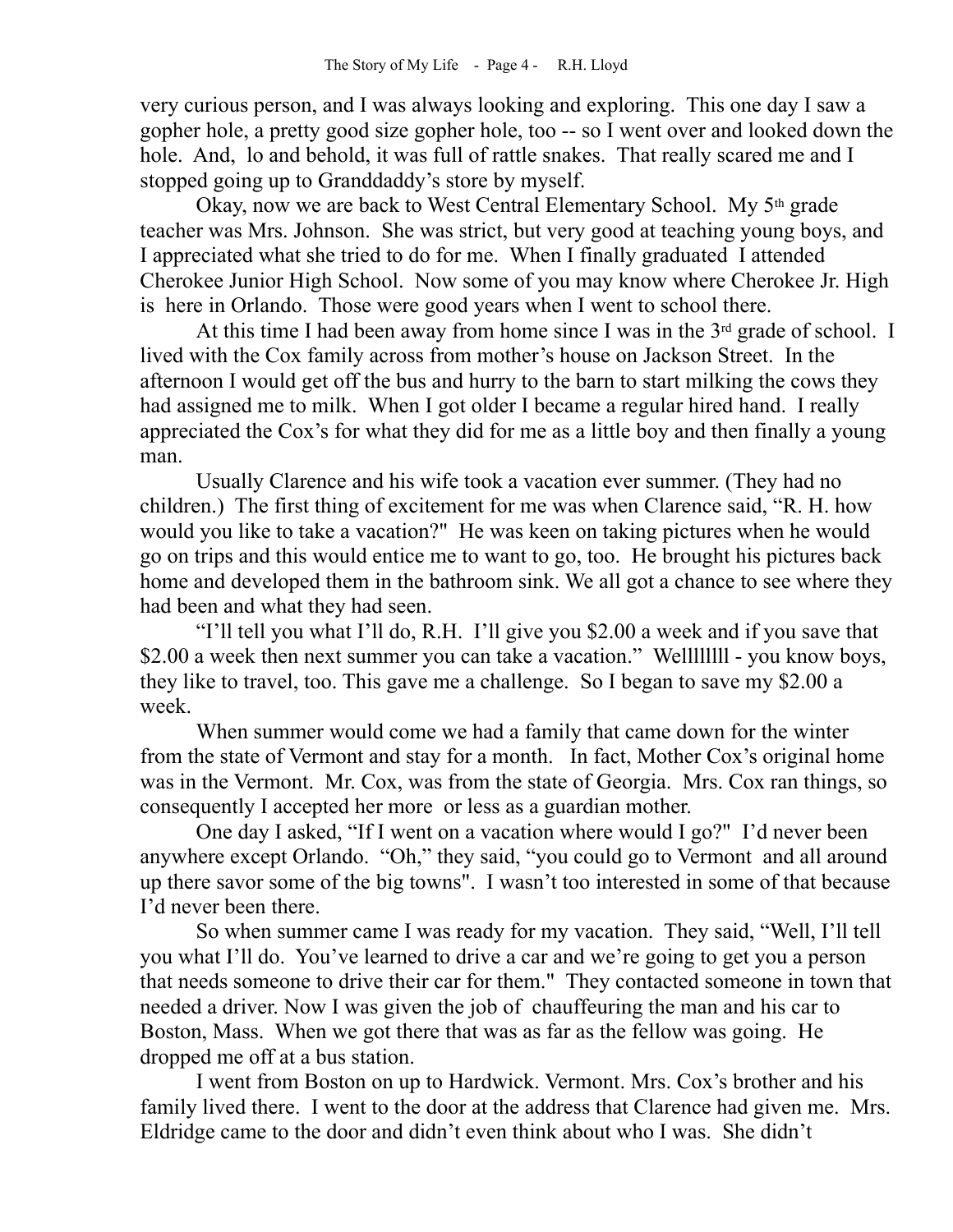very curious person, and I was always looking and exploring. This one day I saw a gopher hole, a pretty good size gopher hole, too -- so I went over and looked down the hole. And, lo and behold, it was full of rattle snakes. That really scared me and I stopped going up to Granddaddy's store by myself.

Okay, now we are back to West Central Elementary School. My 5<sup>th</sup> grade teacher was Mrs. Johnson. She was strict, but very good at teaching young boys, and I appreciated what she tried to do for me. When I finally graduated I attended Cherokee Junior High School. Now some of you may know where Cherokee Jr. High is here in Orlando. Those were good years when I went to school there.

At this time I had been away from home since I was in the  $3<sup>rd</sup>$  grade of school. I lived with the Cox family across from mother's house on Jackson Street. In the afternoon I would get off the bus and hurry to the barn to start milking the cows they had assigned me to milk. When I got older I became a regular hired hand. I really appreciated the Cox's for what they did for me as a little boy and then finally a young man.

Usually Clarence and his wife took a vacation ever summer. (They had no children.) The first thing of excitement for me was when Clarence said, "R. H. how would you like to take a vacation?" He was keen on taking pictures when he would go on trips and this would entice me to want to go, too. He brought his pictures back home and developed them in the bathroom sink. We all got a chance to see where they had been and what they had seen.

"I'll tell you what I'll do, R.H. I'll give you \$2.00 a week and if you save that \$2.00 a week then next summer you can take a vacation." Wellllllll - you know boys, they like to travel, too. This gave me a challenge. So I began to save my \$2.00 a week.

When summer would come we had a family that came down for the winter from the state of Vermont and stay for a month. In fact, Mother Cox's original home was in the Vermont. Mr. Cox, was from the state of Georgia. Mrs. Cox ran things, so consequently I accepted her more or less as a guardian mother.

One day I asked, "If I went on a vacation where would I go?" I'd never been anywhere except Orlando. "Oh," they said, "you could go to Vermont and all around up there savor some of the big towns". I wasn't too interested in some of that because I'd never been there.

So when summer came I was ready for my vacation. They said, "Well, I'll tell you what I'll do. You've learned to drive a car and we're going to get you a person that needs someone to drive their car for them." They contacted someone in town that needed a driver. Now I was given the job of chauffeuring the man and his car to Boston, Mass. When we got there that was as far as the fellow was going. He dropped me off at a bus station.

I went from Boston on up to Hardwick. Vermont. Mrs. Cox's brother and his family lived there. I went to the door at the address that Clarence had given me. Mrs. Eldridge came to the door and didn't even think about who I was. She didn't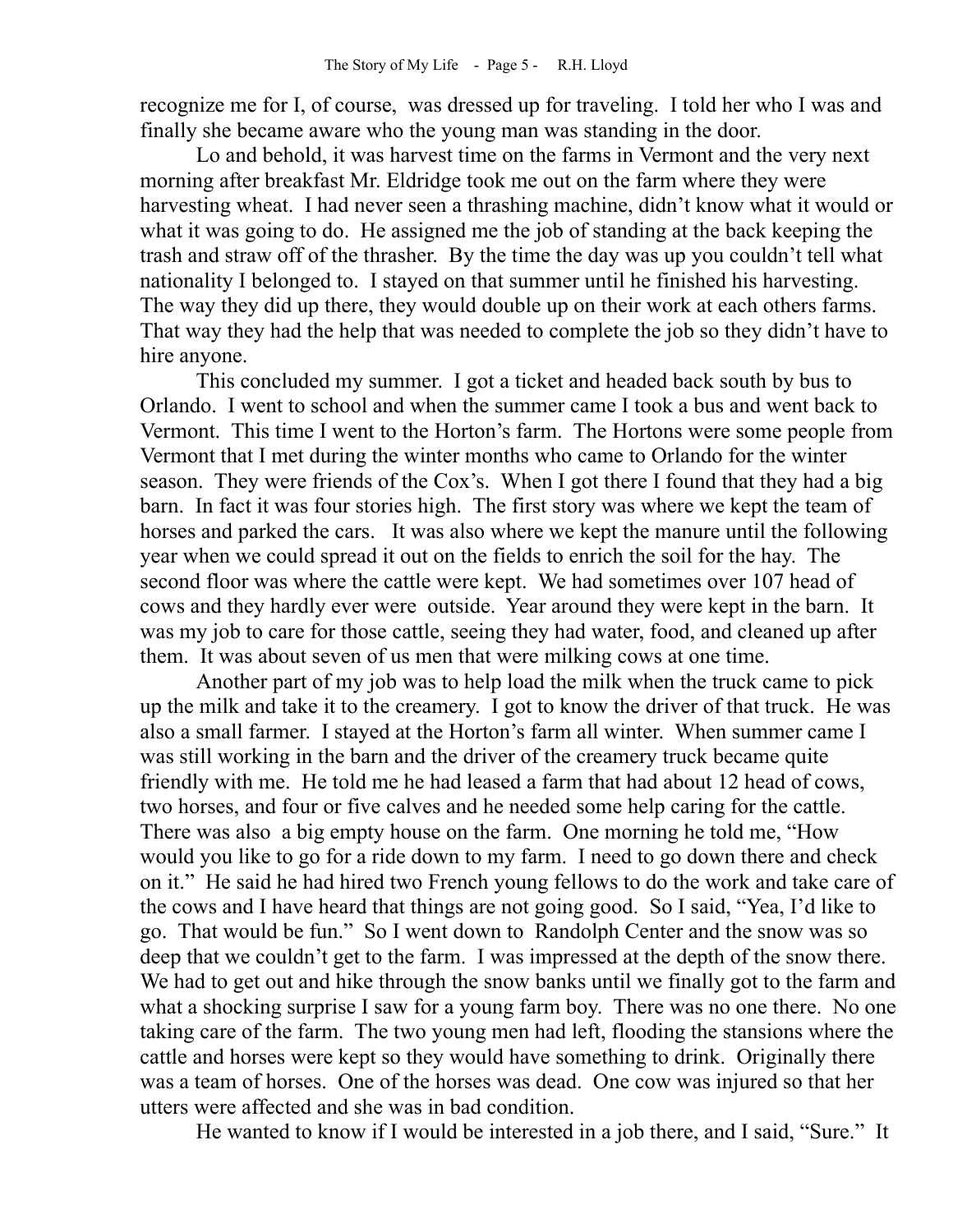recognize me for I, of course, was dressed up for traveling. I told her who I was and finally she became aware who the young man was standing in the door.

Lo and behold, it was harvest time on the farms in Vermont and the very next morning after breakfast Mr. Eldridge took me out on the farm where they were harvesting wheat. I had never seen a thrashing machine, didn't know what it would or what it was going to do. He assigned me the job of standing at the back keeping the trash and straw off of the thrasher. By the time the day was up you couldn't tell what nationality I belonged to. I stayed on that summer until he finished his harvesting. The way they did up there, they would double up on their work at each others farms. That way they had the help that was needed to complete the job so they didn't have to hire anyone.

This concluded my summer. I got a ticket and headed back south by bus to Orlando. I went to school and when the summer came I took a bus and went back to Vermont. This time I went to the Horton's farm. The Hortons were some people from Vermont that I met during the winter months who came to Orlando for the winter season. They were friends of the Cox's. When I got there I found that they had a big barn. In fact it was four stories high. The first story was where we kept the team of horses and parked the cars. It was also where we kept the manure until the following year when we could spread it out on the fields to enrich the soil for the hay. The second floor was where the cattle were kept. We had sometimes over 107 head of cows and they hardly ever were outside. Year around they were kept in the barn. It was my job to care for those cattle, seeing they had water, food, and cleaned up after them. It was about seven of us men that were milking cows at one time.

Another part of my job was to help load the milk when the truck came to pick up the milk and take it to the creamery. I got to know the driver of that truck. He was also a small farmer. I stayed at the Horton's farm all winter. When summer came I was still working in the barn and the driver of the creamery truck became quite friendly with me. He told me he had leased a farm that had about 12 head of cows, two horses, and four or five calves and he needed some help caring for the cattle. There was also a big empty house on the farm. One morning he told me, "How would you like to go for a ride down to my farm. I need to go down there and check on it." He said he had hired two French young fellows to do the work and take care of the cows and I have heard that things are not going good. So I said, "Yea, I'd like to go. That would be fun." So I went down to Randolph Center and the snow was so deep that we couldn't get to the farm. I was impressed at the depth of the snow there. We had to get out and hike through the snow banks until we finally got to the farm and what a shocking surprise I saw for a young farm boy. There was no one there. No one taking care of the farm. The two young men had left, flooding the stansions where the cattle and horses were kept so they would have something to drink. Originally there was a team of horses. One of the horses was dead. One cow was injured so that her utters were affected and she was in bad condition.

He wanted to know if I would be interested in a job there, and I said, "Sure." It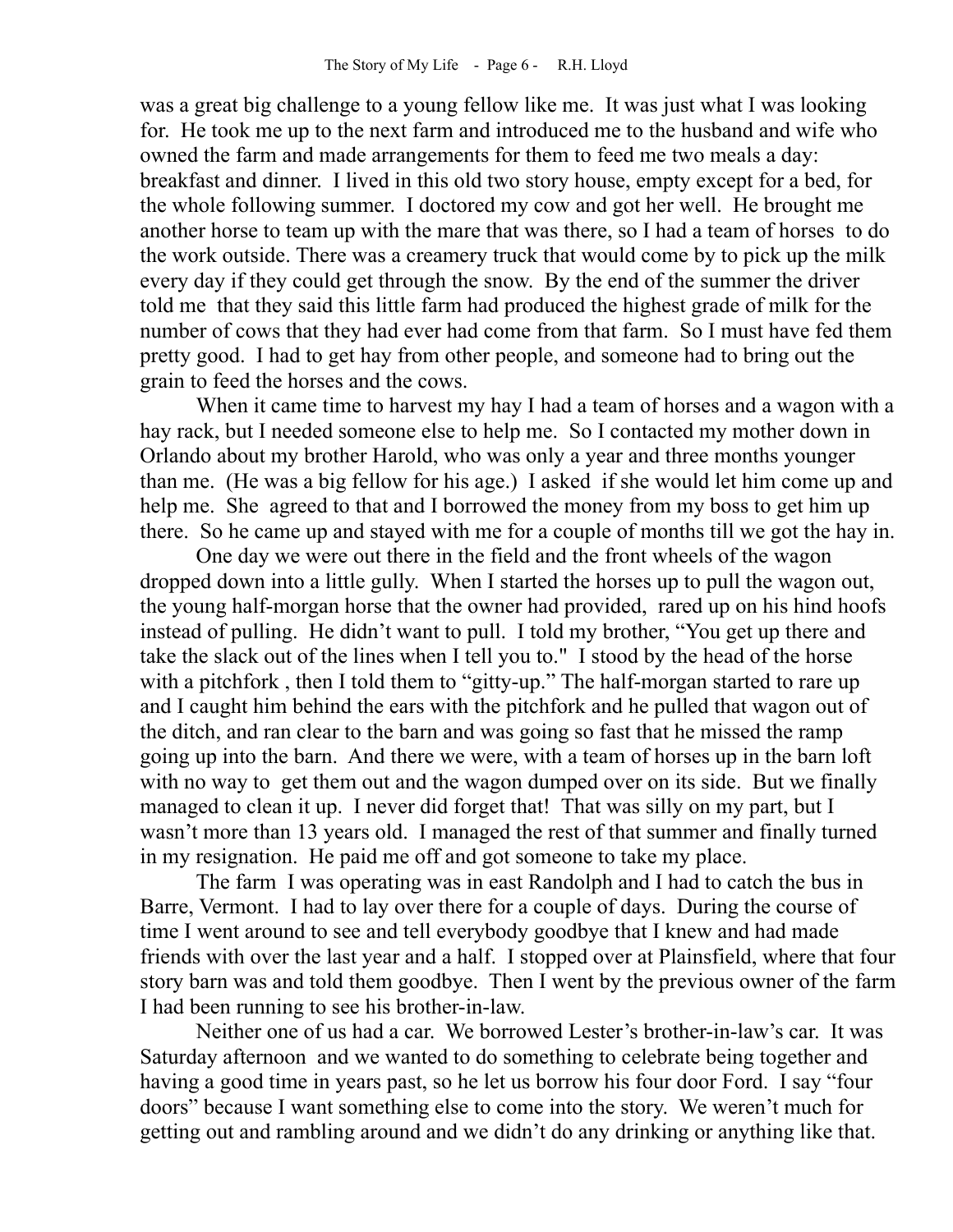was a great big challenge to a young fellow like me. It was just what I was looking for. He took me up to the next farm and introduced me to the husband and wife who owned the farm and made arrangements for them to feed me two meals a day: breakfast and dinner. I lived in this old two story house, empty except for a bed, for the whole following summer. I doctored my cow and got her well. He brought me another horse to team up with the mare that was there, so I had a team of horses to do the work outside. There was a creamery truck that would come by to pick up the milk every day if they could get through the snow. By the end of the summer the driver told me that they said this little farm had produced the highest grade of milk for the number of cows that they had ever had come from that farm. So I must have fed them pretty good. I had to get hay from other people, and someone had to bring out the grain to feed the horses and the cows.

When it came time to harvest my hay I had a team of horses and a wagon with a hay rack, but I needed someone else to help me. So I contacted my mother down in Orlando about my brother Harold, who was only a year and three months younger than me. (He was a big fellow for his age.) I asked if she would let him come up and help me. She agreed to that and I borrowed the money from my boss to get him up there. So he came up and stayed with me for a couple of months till we got the hay in.

One day we were out there in the field and the front wheels of the wagon dropped down into a little gully. When I started the horses up to pull the wagon out, the young half-morgan horse that the owner had provided, rared up on his hind hoofs instead of pulling. He didn't want to pull. I told my brother, "You get up there and take the slack out of the lines when I tell you to." I stood by the head of the horse with a pitchfork, then I told them to "gitty-up." The half-morgan started to rare up and I caught him behind the ears with the pitchfork and he pulled that wagon out of the ditch, and ran clear to the barn and was going so fast that he missed the ramp going up into the barn. And there we were, with a team of horses up in the barn loft with no way to get them out and the wagon dumped over on its side. But we finally managed to clean it up. I never did forget that! That was silly on my part, but I wasn't more than 13 years old. I managed the rest of that summer and finally turned in my resignation. He paid me off and got someone to take my place.

The farm I was operating was in east Randolph and I had to catch the bus in Barre, Vermont. I had to lay over there for a couple of days. During the course of time I went around to see and tell everybody goodbye that I knew and had made friends with over the last year and a half. I stopped over at Plainsfield, where that four story barn was and told them goodbye. Then I went by the previous owner of the farm I had been running to see his brother-in-law.

Neither one of us had a car. We borrowed Lester's brother-in-law's car. It was Saturday afternoon and we wanted to do something to celebrate being together and having a good time in years past, so he let us borrow his four door Ford. I say "four doors" because I want something else to come into the story. We weren't much for getting out and rambling around and we didn't do any drinking or anything like that.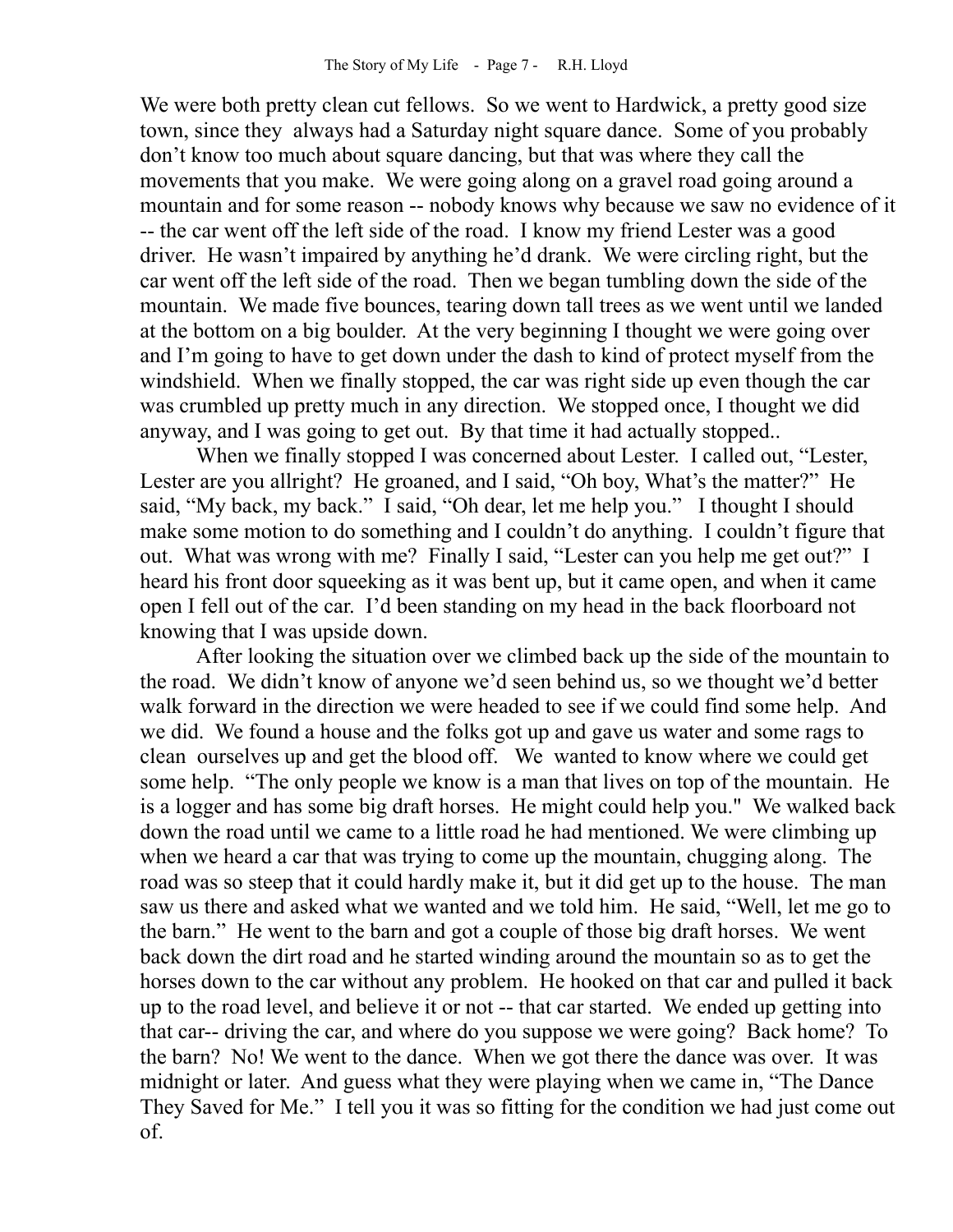We were both pretty clean cut fellows. So we went to Hardwick, a pretty good size town, since they always had a Saturday night square dance. Some of you probably don't know too much about square dancing, but that was where they call the movements that you make. We were going along on a gravel road going around a mountain and for some reason -- nobody knows why because we saw no evidence of it -- the car went off the left side of the road. I know my friend Lester was a good driver. He wasn't impaired by anything he'd drank. We were circling right, but the car went off the left side of the road. Then we began tumbling down the side of the mountain. We made five bounces, tearing down tall trees as we went until we landed at the bottom on a big boulder. At the very beginning I thought we were going over and I'm going to have to get down under the dash to kind of protect myself from the windshield. When we finally stopped, the car was right side up even though the car was crumbled up pretty much in any direction. We stopped once, I thought we did anyway, and I was going to get out. By that time it had actually stopped..

When we finally stopped I was concerned about Lester. I called out, "Lester, Lester are you allright? He groaned, and I said, "Oh boy, What's the matter?" He said, "My back, my back." I said, "Oh dear, let me help you." I thought I should make some motion to do something and I couldn't do anything. I couldn't figure that out. What was wrong with me? Finally I said, "Lester can you help me get out?" I heard his front door squeeking as it was bent up, but it came open, and when it came open I fell out of the car. I'd been standing on my head in the back floorboard not knowing that I was upside down.

After looking the situation over we climbed back up the side of the mountain to the road. We didn't know of anyone we'd seen behind us, so we thought we'd better walk forward in the direction we were headed to see if we could find some help. And we did. We found a house and the folks got up and gave us water and some rags to clean ourselves up and get the blood off. We wanted to know where we could get some help. "The only people we know is a man that lives on top of the mountain. He is a logger and has some big draft horses. He might could help you." We walked back down the road until we came to a little road he had mentioned. We were climbing up when we heard a car that was trying to come up the mountain, chugging along. The road was so steep that it could hardly make it, but it did get up to the house. The man saw us there and asked what we wanted and we told him. He said, "Well, let me go to the barn." He went to the barn and got a couple of those big draft horses. We went back down the dirt road and he started winding around the mountain so as to get the horses down to the car without any problem. He hooked on that car and pulled it back up to the road level, and believe it or not -- that car started. We ended up getting into that car-- driving the car, and where do you suppose we were going? Back home? To the barn? No! We went to the dance. When we got there the dance was over. It was midnight or later. And guess what they were playing when we came in, "The Dance They Saved for Me." I tell you it was so fitting for the condition we had just come out of.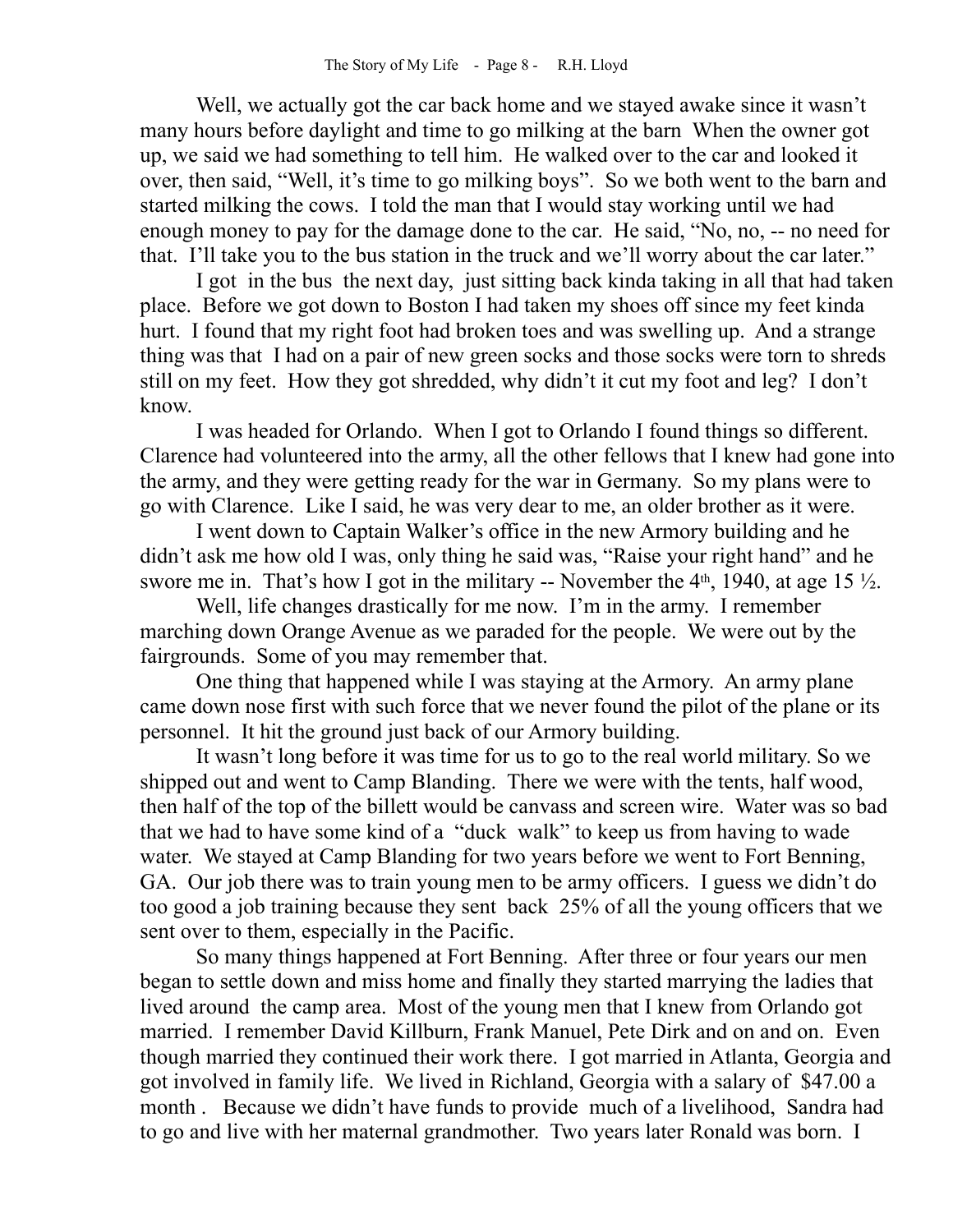Well, we actually got the car back home and we stayed awake since it wasn't many hours before daylight and time to go milking at the barn When the owner got up, we said we had something to tell him. He walked over to the car and looked it over, then said, "Well, it's time to go milking boys". So we both went to the barn and started milking the cows. I told the man that I would stay working until we had enough money to pay for the damage done to the car. He said, "No, no, -- no need for that. I'll take you to the bus station in the truck and we'll worry about the car later."

I got in the bus the next day, just sitting back kinda taking in all that had taken place. Before we got down to Boston I had taken my shoes off since my feet kinda hurt. I found that my right foot had broken toes and was swelling up. And a strange thing was that I had on a pair of new green socks and those socks were torn to shreds still on my feet. How they got shredded, why didn't it cut my foot and leg? I don't know.

I was headed for Orlando. When I got to Orlando I found things so different. Clarence had volunteered into the army, all the other fellows that I knew had gone into the army, and they were getting ready for the war in Germany. So my plans were to go with Clarence. Like I said, he was very dear to me, an older brother as it were.

I went down to Captain Walker's office in the new Armory building and he didn't ask me how old I was, only thing he said was, "Raise your right hand" and he swore me in. That's how I got in the military -- November the  $4<sup>th</sup>$ , 1940, at age 15  $\frac{1}{2}$ .

Well, life changes drastically for me now. I'm in the army. I remember marching down Orange Avenue as we paraded for the people. We were out by the fairgrounds. Some of you may remember that.

One thing that happened while I was staying at the Armory. An army plane came down nose first with such force that we never found the pilot of the plane or its personnel. It hit the ground just back of our Armory building.

It wasn't long before it was time for us to go to the real world military. So we shipped out and went to Camp Blanding. There we were with the tents, half wood, then half of the top of the billett would be canvass and screen wire. Water was so bad that we had to have some kind of a "duck walk" to keep us from having to wade water. We stayed at Camp Blanding for two years before we went to Fort Benning, GA. Our job there was to train young men to be army officers. I guess we didn't do too good a job training because they sent back 25% of all the young officers that we sent over to them, especially in the Pacific.

So many things happened at Fort Benning. After three or four years our men began to settle down and miss home and finally they started marrying the ladies that lived around the camp area. Most of the young men that I knew from Orlando got married. I remember David Killburn, Frank Manuel, Pete Dirk and on and on. Even though married they continued their work there. I got married in Atlanta, Georgia and got involved in family life. We lived in Richland, Georgia with a salary of \$47.00 a month . Because we didn't have funds to provide much of a livelihood, Sandra had to go and live with her maternal grandmother. Two years later Ronald was born. I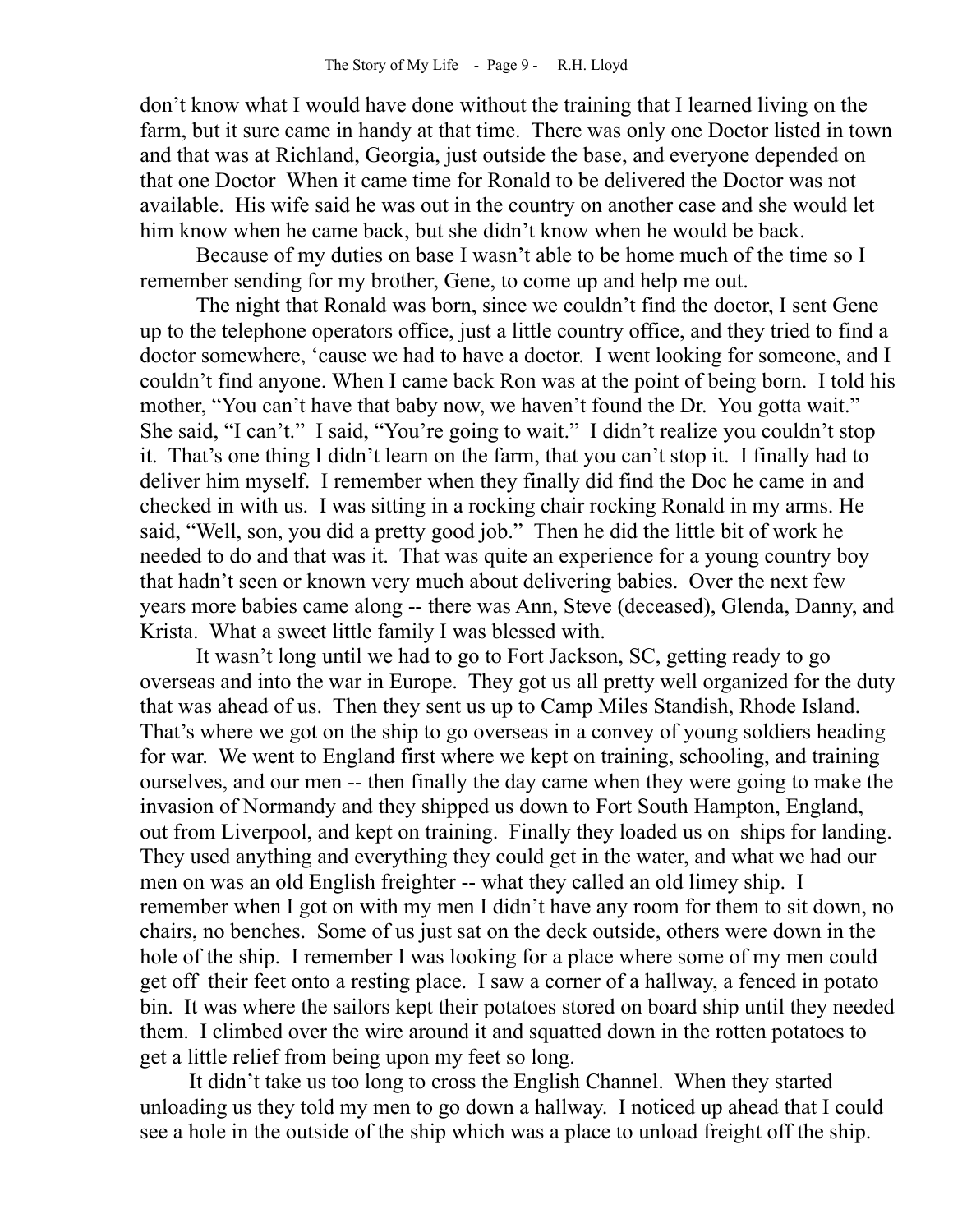don't know what I would have done without the training that I learned living on the farm, but it sure came in handy at that time. There was only one Doctor listed in town and that was at Richland, Georgia, just outside the base, and everyone depended on that one Doctor When it came time for Ronald to be delivered the Doctor was not available. His wife said he was out in the country on another case and she would let him know when he came back, but she didn't know when he would be back.

Because of my duties on base I wasn't able to be home much of the time so I remember sending for my brother, Gene, to come up and help me out.

The night that Ronald was born, since we couldn't find the doctor, I sent Gene up to the telephone operators office, just a little country office, and they tried to find a doctor somewhere, 'cause we had to have a doctor. I went looking for someone, and I couldn't find anyone. When I came back Ron was at the point of being born. I told his mother, "You can't have that baby now, we haven't found the Dr. You gotta wait." She said, "I can't." I said, "You're going to wait." I didn't realize you couldn't stop it. That's one thing I didn't learn on the farm, that you can't stop it. I finally had to deliver him myself. I remember when they finally did find the Doc he came in and checked in with us. I was sitting in a rocking chair rocking Ronald in my arms. He said, "Well, son, you did a pretty good job." Then he did the little bit of work he needed to do and that was it. That was quite an experience for a young country boy that hadn't seen or known very much about delivering babies. Over the next few years more babies came along -- there was Ann, Steve (deceased), Glenda, Danny, and Krista. What a sweet little family I was blessed with.

It wasn't long until we had to go to Fort Jackson, SC, getting ready to go overseas and into the war in Europe. They got us all pretty well organized for the duty that was ahead of us. Then they sent us up to Camp Miles Standish, Rhode Island. That's where we got on the ship to go overseas in a convey of young soldiers heading for war. We went to England first where we kept on training, schooling, and training ourselves, and our men -- then finally the day came when they were going to make the invasion of Normandy and they shipped us down to Fort South Hampton, England, out from Liverpool, and kept on training. Finally they loaded us on ships for landing. They used anything and everything they could get in the water, and what we had our men on was an old English freighter -- what they called an old limey ship. I remember when I got on with my men I didn't have any room for them to sit down, no chairs, no benches. Some of us just sat on the deck outside, others were down in the hole of the ship. I remember I was looking for a place where some of my men could get off their feet onto a resting place. I saw a corner of a hallway, a fenced in potato bin. It was where the sailors kept their potatoes stored on board ship until they needed them. I climbed over the wire around it and squatted down in the rotten potatoes to get a little relief from being upon my feet so long.

 It didn't take us too long to cross the English Channel. When they started unloading us they told my men to go down a hallway. I noticed up ahead that I could see a hole in the outside of the ship which was a place to unload freight off the ship.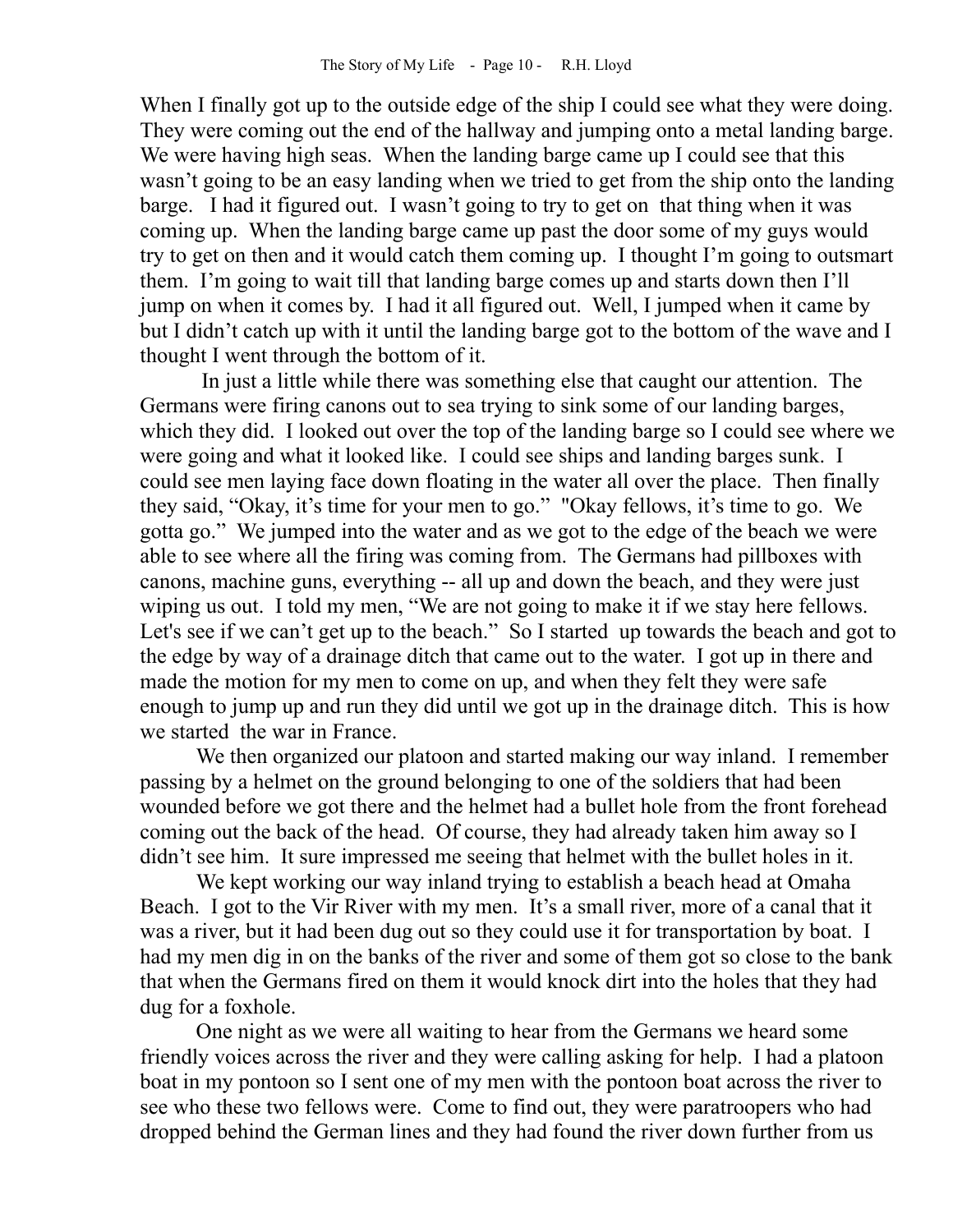When I finally got up to the outside edge of the ship I could see what they were doing. They were coming out the end of the hallway and jumping onto a metal landing barge. We were having high seas. When the landing barge came up I could see that this wasn't going to be an easy landing when we tried to get from the ship onto the landing barge. I had it figured out. I wasn't going to try to get on that thing when it was coming up. When the landing barge came up past the door some of my guys would try to get on then and it would catch them coming up. I thought I'm going to outsmart them. I'm going to wait till that landing barge comes up and starts down then I'll jump on when it comes by. I had it all figured out. Well, I jumped when it came by but I didn't catch up with it until the landing barge got to the bottom of the wave and I thought I went through the bottom of it.

 In just a little while there was something else that caught our attention. The Germans were firing canons out to sea trying to sink some of our landing barges, which they did. I looked out over the top of the landing barge so I could see where we were going and what it looked like. I could see ships and landing barges sunk. I could see men laying face down floating in the water all over the place. Then finally they said, "Okay, it's time for your men to go." "Okay fellows, it's time to go. We gotta go." We jumped into the water and as we got to the edge of the beach we were able to see where all the firing was coming from. The Germans had pillboxes with canons, machine guns, everything -- all up and down the beach, and they were just wiping us out. I told my men, "We are not going to make it if we stay here fellows. Let's see if we can't get up to the beach." So I started up towards the beach and got to the edge by way of a drainage ditch that came out to the water. I got up in there and made the motion for my men to come on up, and when they felt they were safe enough to jump up and run they did until we got up in the drainage ditch. This is how we started the war in France.

We then organized our platoon and started making our way inland. I remember passing by a helmet on the ground belonging to one of the soldiers that had been wounded before we got there and the helmet had a bullet hole from the front forehead coming out the back of the head. Of course, they had already taken him away so I didn't see him. It sure impressed me seeing that helmet with the bullet holes in it.

We kept working our way inland trying to establish a beach head at Omaha Beach. I got to the Vir River with my men. It's a small river, more of a canal that it was a river, but it had been dug out so they could use it for transportation by boat. I had my men dig in on the banks of the river and some of them got so close to the bank that when the Germans fired on them it would knock dirt into the holes that they had dug for a foxhole.

One night as we were all waiting to hear from the Germans we heard some friendly voices across the river and they were calling asking for help. I had a platoon boat in my pontoon so I sent one of my men with the pontoon boat across the river to see who these two fellows were. Come to find out, they were paratroopers who had dropped behind the German lines and they had found the river down further from us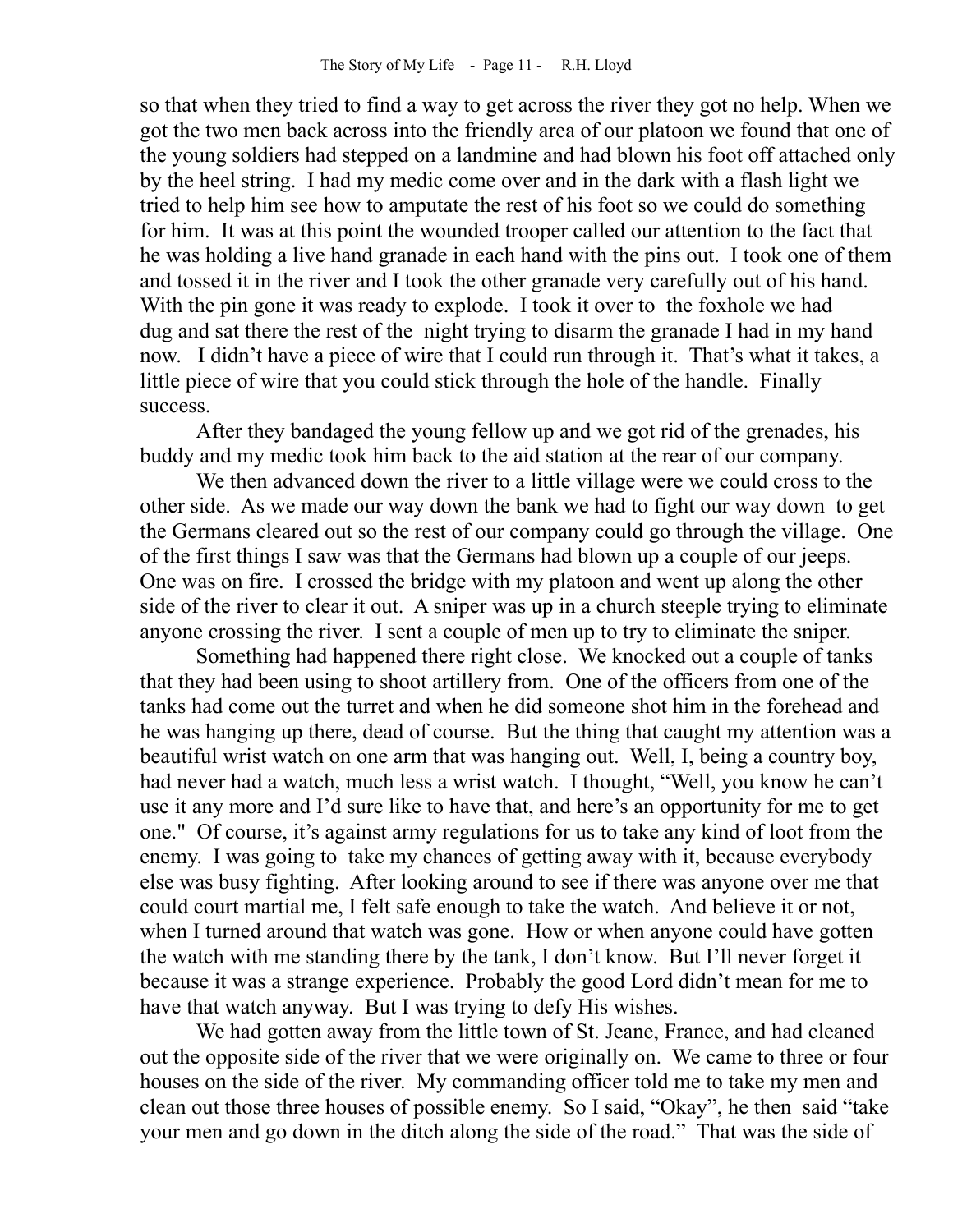so that when they tried to find a way to get across the river they got no help. When we got the two men back across into the friendly area of our platoon we found that one of the young soldiers had stepped on a landmine and had blown his foot off attached only by the heel string. I had my medic come over and in the dark with a flash light we tried to help him see how to amputate the rest of his foot so we could do something for him. It was at this point the wounded trooper called our attention to the fact that he was holding a live hand granade in each hand with the pins out. I took one of them and tossed it in the river and I took the other granade very carefully out of his hand. With the pin gone it was ready to explode. I took it over to the foxhole we had dug and sat there the rest of the night trying to disarm the granade I had in my hand now. I didn't have a piece of wire that I could run through it. That's what it takes, a little piece of wire that you could stick through the hole of the handle. Finally success.

After they bandaged the young fellow up and we got rid of the grenades, his buddy and my medic took him back to the aid station at the rear of our company.

We then advanced down the river to a little village were we could cross to the other side. As we made our way down the bank we had to fight our way down to get the Germans cleared out so the rest of our company could go through the village. One of the first things I saw was that the Germans had blown up a couple of our jeeps. One was on fire. I crossed the bridge with my platoon and went up along the other side of the river to clear it out. A sniper was up in a church steeple trying to eliminate anyone crossing the river. I sent a couple of men up to try to eliminate the sniper.

Something had happened there right close. We knocked out a couple of tanks that they had been using to shoot artillery from. One of the officers from one of the tanks had come out the turret and when he did someone shot him in the forehead and he was hanging up there, dead of course. But the thing that caught my attention was a beautiful wrist watch on one arm that was hanging out. Well, I, being a country boy, had never had a watch, much less a wrist watch. I thought, "Well, you know he can't use it any more and I'd sure like to have that, and here's an opportunity for me to get one." Of course, it's against army regulations for us to take any kind of loot from the enemy. I was going to take my chances of getting away with it, because everybody else was busy fighting. After looking around to see if there was anyone over me that could court martial me, I felt safe enough to take the watch. And believe it or not, when I turned around that watch was gone. How or when anyone could have gotten the watch with me standing there by the tank, I don't know. But I'll never forget it because it was a strange experience. Probably the good Lord didn't mean for me to have that watch anyway. But I was trying to defy His wishes.

We had gotten away from the little town of St. Jeane, France, and had cleaned out the opposite side of the river that we were originally on. We came to three or four houses on the side of the river. My commanding officer told me to take my men and clean out those three houses of possible enemy. So I said, "Okay", he then said "take your men and go down in the ditch along the side of the road." That was the side of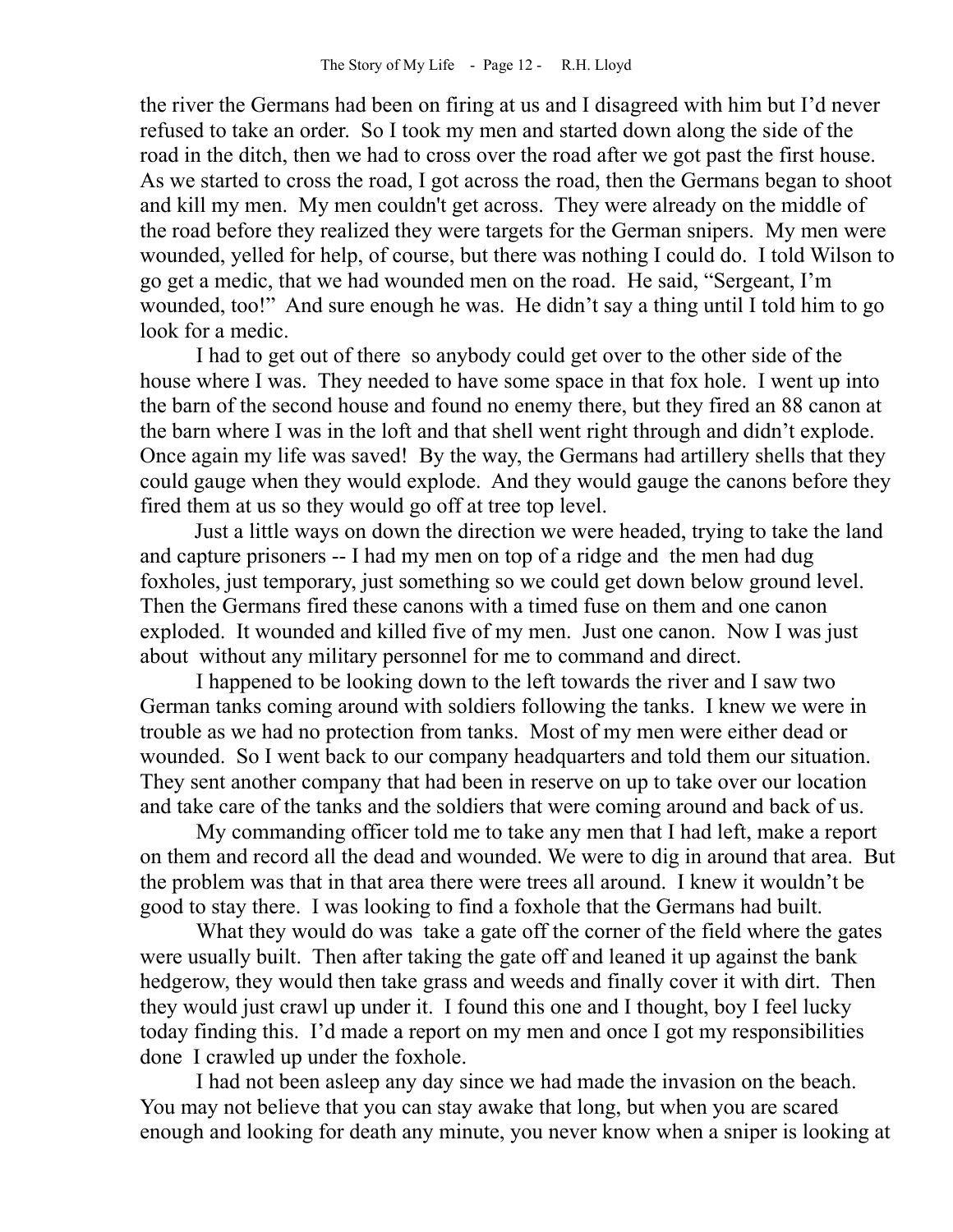the river the Germans had been on firing at us and I disagreed with him but I'd never refused to take an order. So I took my men and started down along the side of the road in the ditch, then we had to cross over the road after we got past the first house. As we started to cross the road, I got across the road, then the Germans began to shoot and kill my men. My men couldn't get across. They were already on the middle of the road before they realized they were targets for the German snipers. My men were wounded, yelled for help, of course, but there was nothing I could do. I told Wilson to go get a medic, that we had wounded men on the road. He said, "Sergeant, I'm wounded, too!" And sure enough he was. He didn't say a thing until I told him to go look for a medic.

I had to get out of there so anybody could get over to the other side of the house where I was. They needed to have some space in that fox hole. I went up into the barn of the second house and found no enemy there, but they fired an 88 canon at the barn where I was in the loft and that shell went right through and didn't explode. Once again my life was saved! By the way, the Germans had artillery shells that they could gauge when they would explode. And they would gauge the canons before they fired them at us so they would go off at tree top level.

 Just a little ways on down the direction we were headed, trying to take the land and capture prisoners -- I had my men on top of a ridge and the men had dug foxholes, just temporary, just something so we could get down below ground level. Then the Germans fired these canons with a timed fuse on them and one canon exploded. It wounded and killed five of my men. Just one canon. Now I was just about without any military personnel for me to command and direct.

I happened to be looking down to the left towards the river and I saw two German tanks coming around with soldiers following the tanks. I knew we were in trouble as we had no protection from tanks. Most of my men were either dead or wounded. So I went back to our company headquarters and told them our situation. They sent another company that had been in reserve on up to take over our location and take care of the tanks and the soldiers that were coming around and back of us.

My commanding officer told me to take any men that I had left, make a report on them and record all the dead and wounded. We were to dig in around that area. But the problem was that in that area there were trees all around. I knew it wouldn't be good to stay there. I was looking to find a foxhole that the Germans had built.

What they would do was take a gate off the corner of the field where the gates were usually built. Then after taking the gate off and leaned it up against the bank hedgerow, they would then take grass and weeds and finally cover it with dirt. Then they would just crawl up under it. I found this one and I thought, boy I feel lucky today finding this. I'd made a report on my men and once I got my responsibilities done I crawled up under the foxhole.

I had not been asleep any day since we had made the invasion on the beach. You may not believe that you can stay awake that long, but when you are scared enough and looking for death any minute, you never know when a sniper is looking at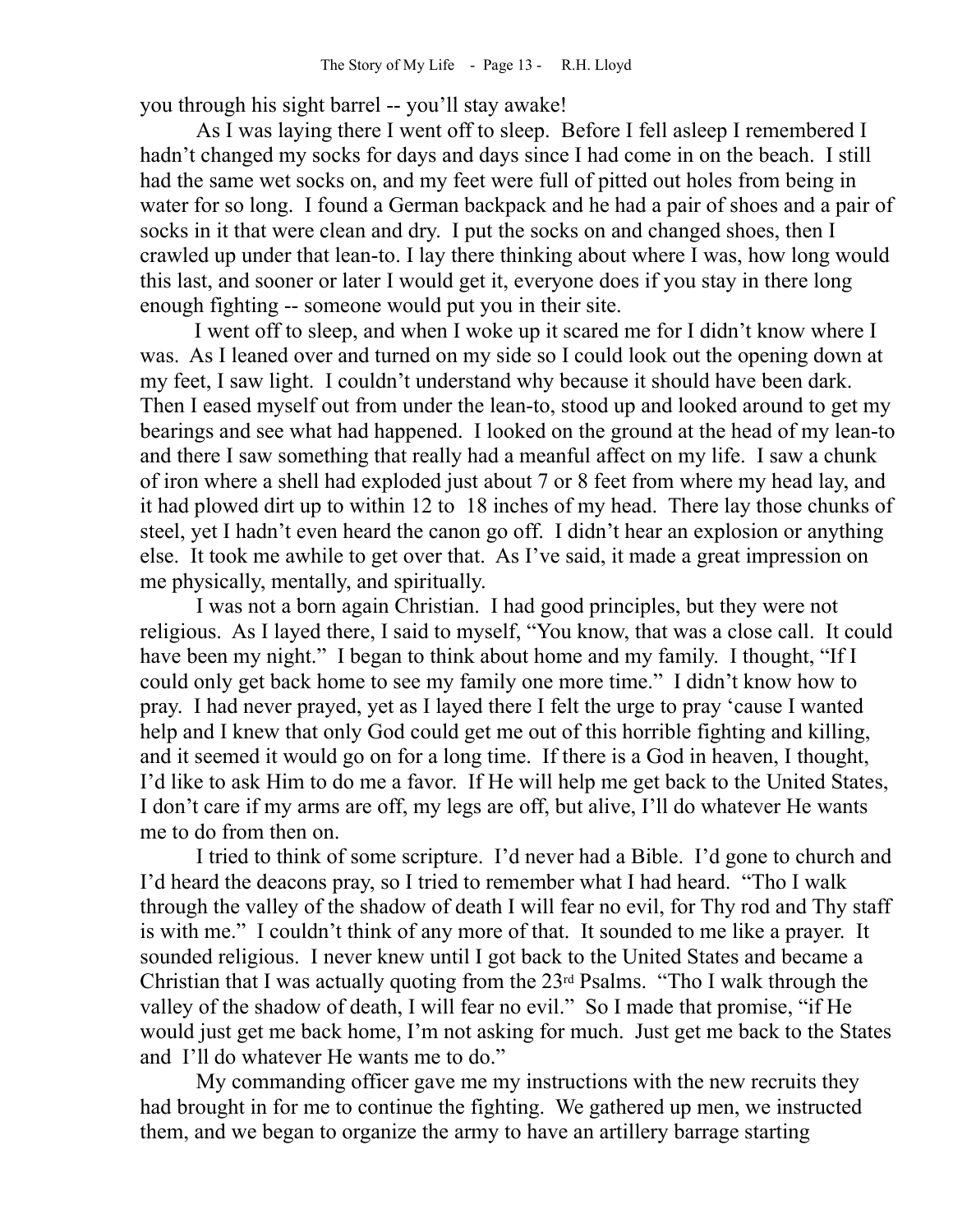you through his sight barrel -- you'll stay awake!

As I was laying there I went off to sleep. Before I fell asleep I remembered I hadn't changed my socks for days and days since I had come in on the beach. I still had the same wet socks on, and my feet were full of pitted out holes from being in water for so long. I found a German backpack and he had a pair of shoes and a pair of socks in it that were clean and dry. I put the socks on and changed shoes, then I crawled up under that lean-to. I lay there thinking about where I was, how long would this last, and sooner or later I would get it, everyone does if you stay in there long enough fighting -- someone would put you in their site.

 I went off to sleep, and when I woke up it scared me for I didn't know where I was. As I leaned over and turned on my side so I could look out the opening down at my feet, I saw light. I couldn't understand why because it should have been dark. Then I eased myself out from under the lean-to, stood up and looked around to get my bearings and see what had happened. I looked on the ground at the head of my lean-to and there I saw something that really had a meanful affect on my life. I saw a chunk of iron where a shell had exploded just about 7 or 8 feet from where my head lay, and it had plowed dirt up to within 12 to 18 inches of my head. There lay those chunks of steel, yet I hadn't even heard the canon go off. I didn't hear an explosion or anything else. It took me awhile to get over that. As I've said, it made a great impression on me physically, mentally, and spiritually.

I was not a born again Christian. I had good principles, but they were not religious. As I layed there, I said to myself, "You know, that was a close call. It could have been my night." I began to think about home and my family. I thought, "If I could only get back home to see my family one more time." I didn't know how to pray. I had never prayed, yet as I layed there I felt the urge to pray 'cause I wanted help and I knew that only God could get me out of this horrible fighting and killing, and it seemed it would go on for a long time. If there is a God in heaven, I thought, I'd like to ask Him to do me a favor. If He will help me get back to the United States, I don't care if my arms are off, my legs are off, but alive, I'll do whatever He wants me to do from then on.

I tried to think of some scripture. I'd never had a Bible. I'd gone to church and I'd heard the deacons pray, so I tried to remember what I had heard. "Tho I walk through the valley of the shadow of death I will fear no evil, for Thy rod and Thy staff is with me." I couldn't think of any more of that. It sounded to me like a prayer. It sounded religious. I never knew until I got back to the United States and became a Christian that I was actually quoting from the 23rd Psalms. "Tho I walk through the valley of the shadow of death, I will fear no evil." So I made that promise, "if He would just get me back home, I'm not asking for much. Just get me back to the States and I'll do whatever He wants me to do."

My commanding officer gave me my instructions with the new recruits they had brought in for me to continue the fighting. We gathered up men, we instructed them, and we began to organize the army to have an artillery barrage starting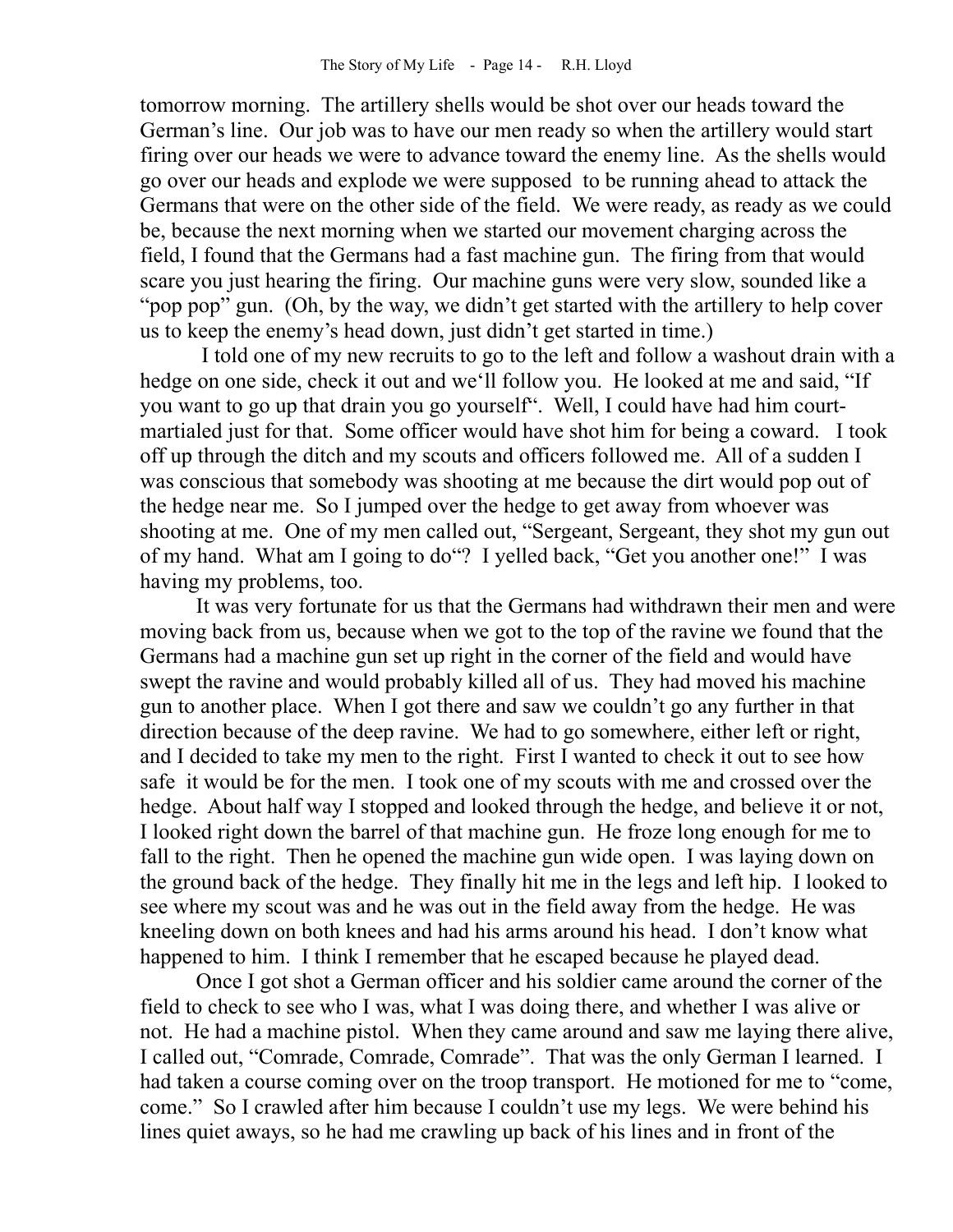tomorrow morning. The artillery shells would be shot over our heads toward the German's line. Our job was to have our men ready so when the artillery would start firing over our heads we were to advance toward the enemy line. As the shells would go over our heads and explode we were supposed to be running ahead to attack the Germans that were on the other side of the field. We were ready, as ready as we could be, because the next morning when we started our movement charging across the field, I found that the Germans had a fast machine gun. The firing from that would scare you just hearing the firing. Our machine guns were very slow, sounded like a "pop pop" gun. (Oh, by the way, we didn't get started with the artillery to help cover us to keep the enemy's head down, just didn't get started in time.)

 I told one of my new recruits to go to the left and follow a washout drain with a hedge on one side, check it out and we'll follow you. He looked at me and said, "If you want to go up that drain you go yourself". Well, I could have had him courtmartialed just for that. Some officer would have shot him for being a coward. I took off up through the ditch and my scouts and officers followed me. All of a sudden I was conscious that somebody was shooting at me because the dirt would pop out of the hedge near me. So I jumped over the hedge to get away from whoever was shooting at me. One of my men called out, "Sergeant, Sergeant, they shot my gun out of my hand. What am I going to do"? I yelled back, "Get you another one!" I was having my problems, too.

It was very fortunate for us that the Germans had withdrawn their men and were moving back from us, because when we got to the top of the ravine we found that the Germans had a machine gun set up right in the corner of the field and would have swept the ravine and would probably killed all of us. They had moved his machine gun to another place. When I got there and saw we couldn't go any further in that direction because of the deep ravine. We had to go somewhere, either left or right, and I decided to take my men to the right. First I wanted to check it out to see how safe it would be for the men. I took one of my scouts with me and crossed over the hedge. About half way I stopped and looked through the hedge, and believe it or not, I looked right down the barrel of that machine gun. He froze long enough for me to fall to the right. Then he opened the machine gun wide open. I was laying down on the ground back of the hedge. They finally hit me in the legs and left hip. I looked to see where my scout was and he was out in the field away from the hedge. He was kneeling down on both knees and had his arms around his head. I don't know what happened to him. I think I remember that he escaped because he played dead.

Once I got shot a German officer and his soldier came around the corner of the field to check to see who I was, what I was doing there, and whether I was alive or not. He had a machine pistol. When they came around and saw me laying there alive, I called out, "Comrade, Comrade, Comrade". That was the only German I learned. I had taken a course coming over on the troop transport. He motioned for me to "come, come." So I crawled after him because I couldn't use my legs. We were behind his lines quiet aways, so he had me crawling up back of his lines and in front of the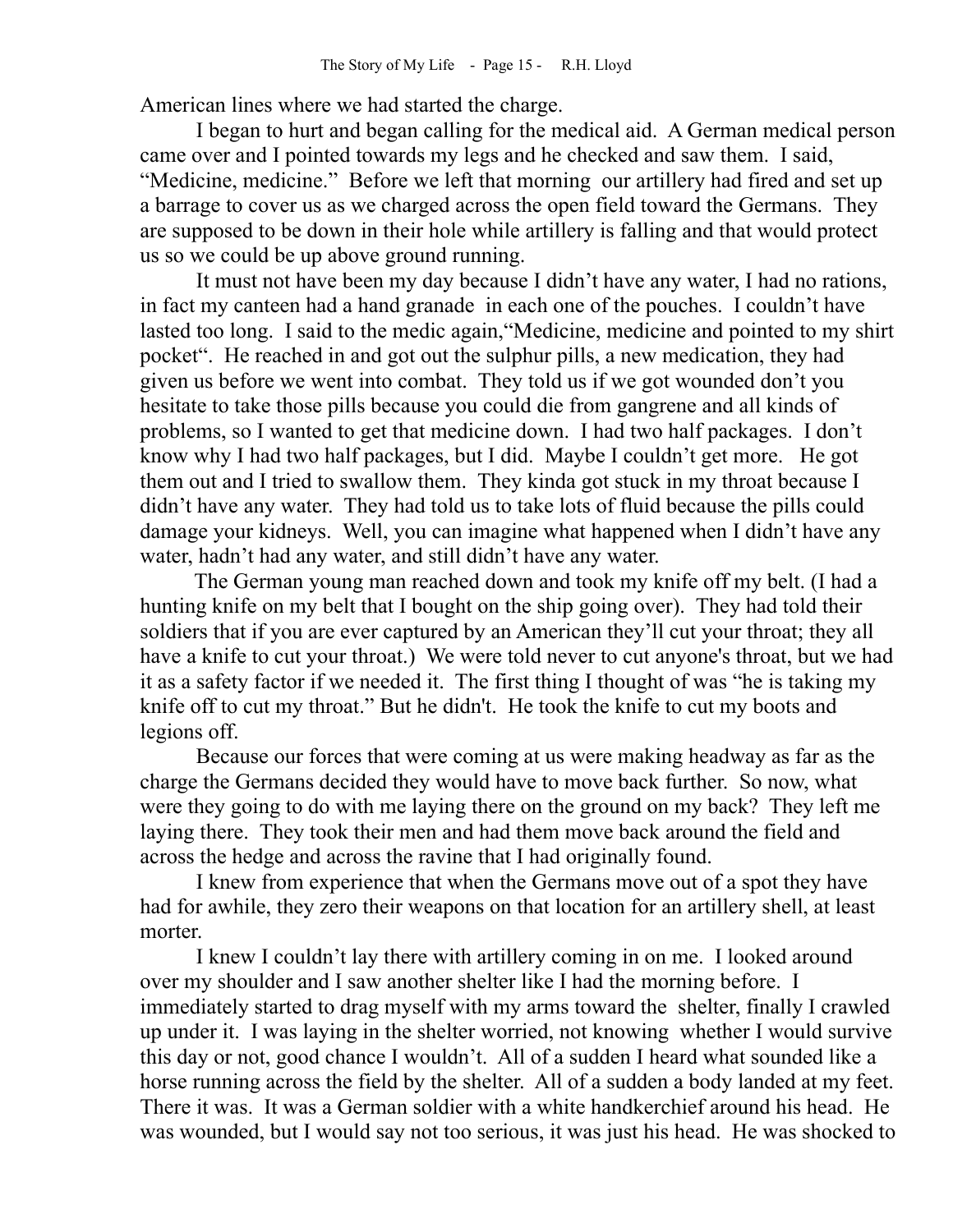American lines where we had started the charge.

I began to hurt and began calling for the medical aid. A German medical person came over and I pointed towards my legs and he checked and saw them. I said, "Medicine, medicine." Before we left that morning our artillery had fired and set up a barrage to cover us as we charged across the open field toward the Germans. They are supposed to be down in their hole while artillery is falling and that would protect us so we could be up above ground running.

It must not have been my day because I didn't have any water, I had no rations, in fact my canteen had a hand granade in each one of the pouches. I couldn't have lasted too long. I said to the medic again,"Medicine, medicine and pointed to my shirt pocket". He reached in and got out the sulphur pills, a new medication, they had given us before we went into combat. They told us if we got wounded don't you hesitate to take those pills because you could die from gangrene and all kinds of problems, so I wanted to get that medicine down. I had two half packages. I don't know why I had two half packages, but I did. Maybe I couldn't get more. He got them out and I tried to swallow them. They kinda got stuck in my throat because I didn't have any water. They had told us to take lots of fluid because the pills could damage your kidneys. Well, you can imagine what happened when I didn't have any water, hadn't had any water, and still didn't have any water.

 The German young man reached down and took my knife off my belt. (I had a hunting knife on my belt that I bought on the ship going over). They had told their soldiers that if you are ever captured by an American they'll cut your throat; they all have a knife to cut your throat.) We were told never to cut anyone's throat, but we had it as a safety factor if we needed it. The first thing I thought of was "he is taking my knife off to cut my throat." But he didn't. He took the knife to cut my boots and legions off.

Because our forces that were coming at us were making headway as far as the charge the Germans decided they would have to move back further. So now, what were they going to do with me laying there on the ground on my back? They left me laying there. They took their men and had them move back around the field and across the hedge and across the ravine that I had originally found.

I knew from experience that when the Germans move out of a spot they have had for awhile, they zero their weapons on that location for an artillery shell, at least morter.

I knew I couldn't lay there with artillery coming in on me. I looked around over my shoulder and I saw another shelter like I had the morning before. I immediately started to drag myself with my arms toward the shelter, finally I crawled up under it. I was laying in the shelter worried, not knowing whether I would survive this day or not, good chance I wouldn't. All of a sudden I heard what sounded like a horse running across the field by the shelter. All of a sudden a body landed at my feet. There it was. It was a German soldier with a white handkerchief around his head. He was wounded, but I would say not too serious, it was just his head. He was shocked to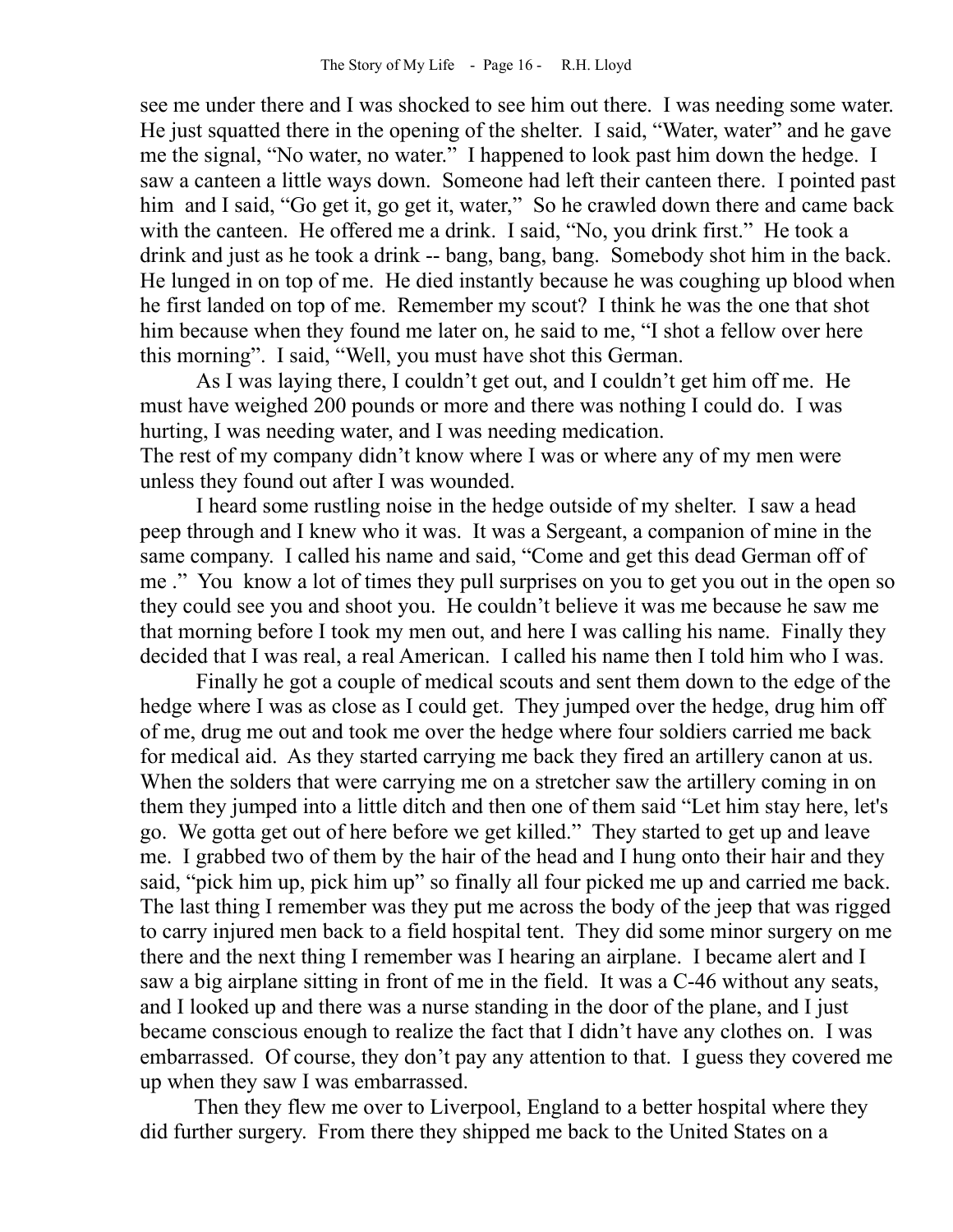see me under there and I was shocked to see him out there. I was needing some water. He just squatted there in the opening of the shelter. I said, "Water, water" and he gave me the signal, "No water, no water." I happened to look past him down the hedge. I saw a canteen a little ways down. Someone had left their canteen there. I pointed past him and I said, "Go get it, go get it, water," So he crawled down there and came back with the canteen. He offered me a drink. I said, "No, you drink first." He took a drink and just as he took a drink -- bang, bang, bang. Somebody shot him in the back. He lunged in on top of me. He died instantly because he was coughing up blood when he first landed on top of me. Remember my scout? I think he was the one that shot him because when they found me later on, he said to me, "I shot a fellow over here this morning". I said, "Well, you must have shot this German.

As I was laying there, I couldn't get out, and I couldn't get him off me. He must have weighed 200 pounds or more and there was nothing I could do. I was hurting, I was needing water, and I was needing medication. The rest of my company didn't know where I was or where any of my men were

unless they found out after I was wounded.

I heard some rustling noise in the hedge outside of my shelter. I saw a head peep through and I knew who it was. It was a Sergeant, a companion of mine in the same company. I called his name and said, "Come and get this dead German off of me ." You know a lot of times they pull surprises on you to get you out in the open so they could see you and shoot you. He couldn't believe it was me because he saw me that morning before I took my men out, and here I was calling his name. Finally they decided that I was real, a real American. I called his name then I told him who I was.

Finally he got a couple of medical scouts and sent them down to the edge of the hedge where I was as close as I could get. They jumped over the hedge, drug him off of me, drug me out and took me over the hedge where four soldiers carried me back for medical aid. As they started carrying me back they fired an artillery canon at us. When the solders that were carrying me on a stretcher saw the artillery coming in on them they jumped into a little ditch and then one of them said "Let him stay here, let's go. We gotta get out of here before we get killed." They started to get up and leave me. I grabbed two of them by the hair of the head and I hung onto their hair and they said, "pick him up, pick him up" so finally all four picked me up and carried me back. The last thing I remember was they put me across the body of the jeep that was rigged to carry injured men back to a field hospital tent. They did some minor surgery on me there and the next thing I remember was I hearing an airplane. I became alert and I saw a big airplane sitting in front of me in the field. It was a C-46 without any seats, and I looked up and there was a nurse standing in the door of the plane, and I just became conscious enough to realize the fact that I didn't have any clothes on. I was embarrassed. Of course, they don't pay any attention to that. I guess they covered me up when they saw I was embarrassed.

 Then they flew me over to Liverpool, England to a better hospital where they did further surgery. From there they shipped me back to the United States on a